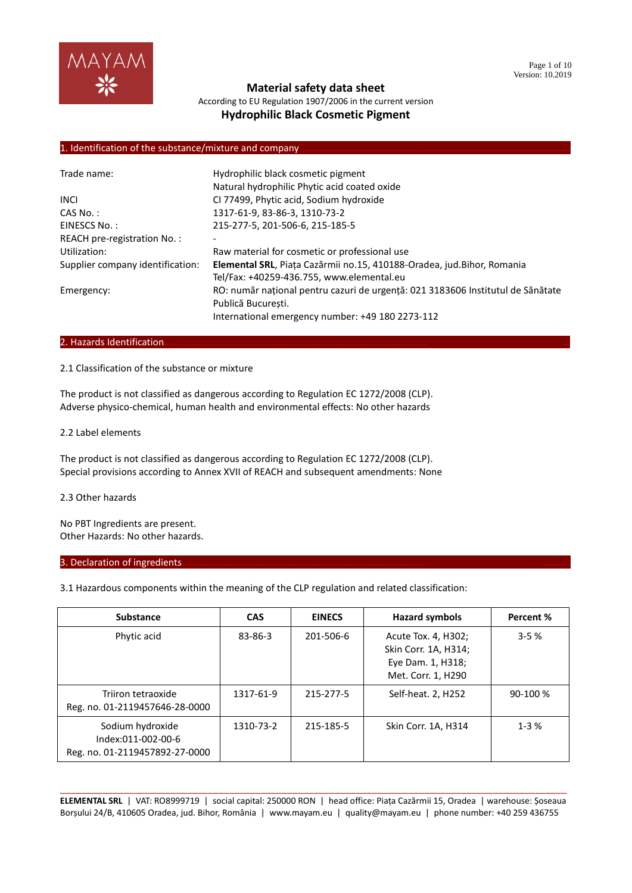

According to EU Regulation 1907/2006 in the current version **Hydrophilic Black Cosmetic Pigment**

## 1. Identification of the substance/mixture and company

| Trade name:                      | Hydrophilic black cosmetic pigment                                              |
|----------------------------------|---------------------------------------------------------------------------------|
|                                  | Natural hydrophilic Phytic acid coated oxide                                    |
| <b>INCL</b>                      | CI 77499, Phytic acid, Sodium hydroxide                                         |
| $CAS No.$ :                      | 1317-61-9, 83-86-3, 1310-73-2                                                   |
| EINESCS No.:                     | 215-277-5, 201-506-6, 215-185-5                                                 |
| REACH pre-registration No.:      |                                                                                 |
| Utilization:                     | Raw material for cosmetic or professional use                                   |
| Supplier company identification: | Elemental SRL, Piața Cazărmii no.15, 410188-Oradea, jud. Bihor, Romania         |
|                                  | Tel/Fax: +40259-436.755, www.elemental.eu                                       |
| Emergency:                       | RO: număr național pentru cazuri de urgență: 021 3183606 Institutul de Sănătate |
|                                  | Publică Bucuresti.                                                              |
|                                  | International emergency number: +49 180 2273-112                                |

#### 2. Hazards Identification...

## 2.1 Classification of the substance or mixture

The product is not classified as dangerous according to Regulation EC 1272/2008 (CLP). Adverse physico-chemical, human health and environmental effects: No other hazards

#### 2.2 Label elements

The product is not classified as dangerous according to Regulation EC 1272/2008 (CLP). Special provisions according to Annex XVII of REACH and subsequent amendments: None

## 2.3 Other hazards

No PBT Ingredients are present. Other Hazards: No other hazards.

#### 3. Declaration of ingredients.

3.1 Hazardous components within the meaning of the CLP regulation and related classification:

| <b>Substance</b>                                                         | <b>CAS</b> | <b>EINECS</b> | <b>Hazard symbols</b>                                                                  | Percent % |
|--------------------------------------------------------------------------|------------|---------------|----------------------------------------------------------------------------------------|-----------|
| Phytic acid                                                              | 83-86-3    | 201-506-6     | Acute Tox. 4, H302;<br>Skin Corr. 1A, H314;<br>Eye Dam. 1, H318;<br>Met. Corr. 1, H290 | $3 - 5%$  |
| Triiron tetraoxide<br>Reg. no. 01-2119457646-28-0000                     | 1317-61-9  | 215-277-5     | Self-heat. 2, H252                                                                     | 90-100 %  |
| Sodium hydroxide<br>Index:011-002-00-6<br>Reg. no. 01-2119457892-27-0000 | 1310-73-2  | 215-185-5     | Skin Corr. 1A, H314                                                                    | $1 - 3%$  |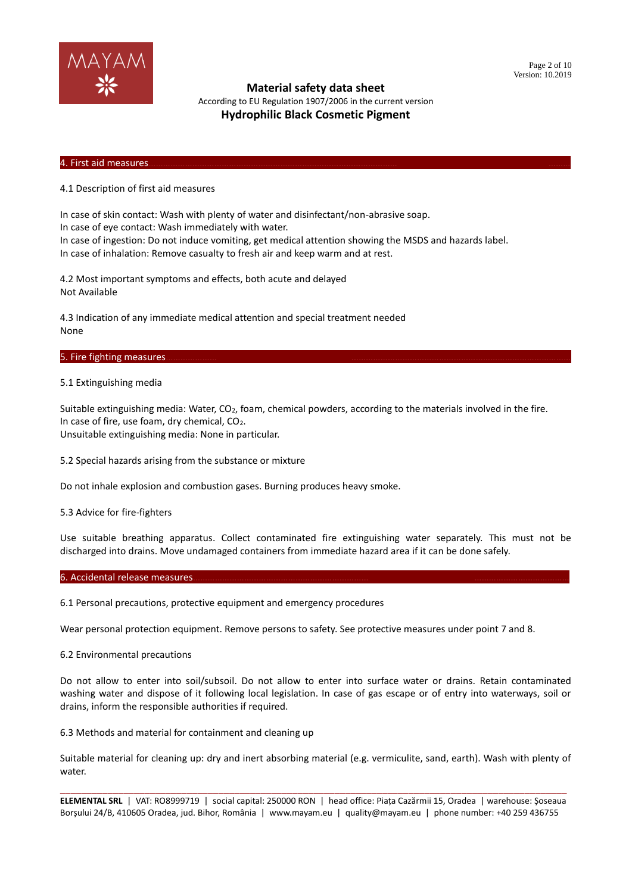

According to EU Regulation 1907/2006 in the current version **Hydrophilic Black Cosmetic Pigment**

#### 4. First aid measures………………………………………………………………………………………… ………

4.1 Description of first aid measures

In case of skin contact: Wash with plenty of water and disinfectant/non-abrasive soap. In case of eye contact: Wash immediately with water. In case of ingestion: Do not induce vomiting, get medical attention showing the MSDS and hazards label.

In case of inhalation: Remove casualty to fresh air and keep warm and at rest.

4.2 Most important symptoms and effects, both acute and delayed Not Available

4.3 Indication of any immediate medical attention and special treatment needed None

#### 5. Fire fighting measures.

#### 5.1 Extinguishing media

Suitable extinguishing media: Water, CO<sub>2</sub>, foam, chemical powders, according to the materials involved in the fire. In case of fire, use foam, dry chemical, CO2. Unsuitable extinguishing media: None in particular.

5.2 Special hazards arising from the substance or mixture

Do not inhale explosion and combustion gases. Burning produces heavy smoke.

5.3 Advice for fire-fighters

Use suitable breathing apparatus. Collect contaminated fire extinguishing water separately. This must not be discharged into drains. Move undamaged containers from immediate hazard area if it can be done safely.

6. Accidental release measures.

6.1 Personal precautions, protective equipment and emergency procedures

Wear personal protection equipment. Remove persons to safety. See protective measures under point 7 and 8.

6.2 Environmental precautions

Do not allow to enter into soil/subsoil. Do not allow to enter into surface water or drains. Retain contaminated washing water and dispose of it following local legislation. In case of gas escape or of entry into waterways, soil or drains, inform the responsible authorities if required.

6.3 Methods and material for containment and cleaning up

Suitable material for cleaning up: dry and inert absorbing material (e.g. vermiculite, sand, earth). Wash with plenty of water.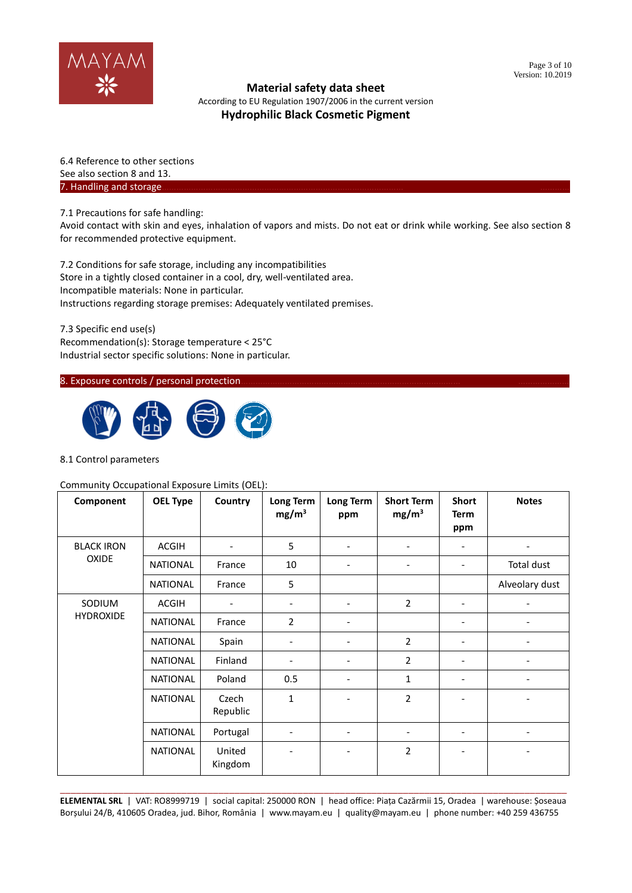

According to EU Regulation 1907/2006 in the current version **Hydrophilic Black Cosmetic Pigment**

6.4 Reference to other sections See also section 8 and 13. 7. Handling and storage.

7.1 Precautions for safe handling:

Avoid contact with skin and eyes, inhalation of vapors and mists. Do not eat or drink while working. See also section 8 for recommended protective equipment.

7.2 Conditions for safe storage, including any incompatibilities Store in a tightly closed container in a cool, dry, well-ventilated area. Incompatible materials: None in particular. Instructions regarding storage premises: Adequately ventilated premises.

7.3 Specific end use(s) Recommendation(s): Storage temperature < 25°C Industrial sector specific solutions: None in particular.

## 8. Exposure controls / personal protection.



## 8.1 Control parameters

#### Community Occupational Exposure Limits (OEL):

| Component         | <b>OEL Type</b> | Country                      | Long Term<br>mg/m <sup>3</sup> | <b>Long Term</b><br>ppm      | <b>Short Term</b><br>mg/m <sup>3</sup> | <b>Short</b><br><b>Term</b><br>ppm | <b>Notes</b>             |
|-------------------|-----------------|------------------------------|--------------------------------|------------------------------|----------------------------------------|------------------------------------|--------------------------|
| <b>BLACK IRON</b> | <b>ACGIH</b>    | $\overline{\phantom{a}}$     | 5                              | $\overline{\phantom{a}}$     | $\overline{\phantom{a}}$               | $\overline{\phantom{a}}$           | $\overline{\phantom{a}}$ |
| <b>OXIDE</b>      | <b>NATIONAL</b> | France                       | 10                             | $\overline{\phantom{a}}$     | $\overline{\phantom{a}}$               | $\overline{\phantom{a}}$           | Total dust               |
|                   | <b>NATIONAL</b> | France                       | 5                              |                              |                                        |                                    | Alveolary dust           |
| SODIUM            | <b>ACGIH</b>    | $\qquad \qquad \blacksquare$ | $\overline{\phantom{a}}$       | $\qquad \qquad \blacksquare$ | $\overline{2}$                         | $\overline{\phantom{a}}$           |                          |
| <b>HYDROXIDE</b>  | <b>NATIONAL</b> | France                       | $\overline{2}$                 | $\overline{\phantom{a}}$     |                                        | $\overline{\phantom{0}}$           |                          |
|                   | NATIONAL        | Spain                        |                                | $\qquad \qquad \blacksquare$ | 2                                      |                                    |                          |
|                   | <b>NATIONAL</b> | Finland                      |                                | $\qquad \qquad \blacksquare$ | $\overline{2}$                         |                                    |                          |
|                   | <b>NATIONAL</b> | Poland                       | 0.5                            | ۰                            | 1                                      |                                    |                          |
|                   | <b>NATIONAL</b> | Czech<br>Republic            | $\mathbf{1}$                   |                              | $\overline{2}$                         |                                    |                          |
|                   | NATIONAL        | Portugal                     | ٠                              | $\qquad \qquad \blacksquare$ | $\overline{\phantom{a}}$               | $\overline{\phantom{a}}$           |                          |
|                   | NATIONAL        | United<br>Kingdom            |                                | $\qquad \qquad \blacksquare$ | $\overline{2}$                         |                                    |                          |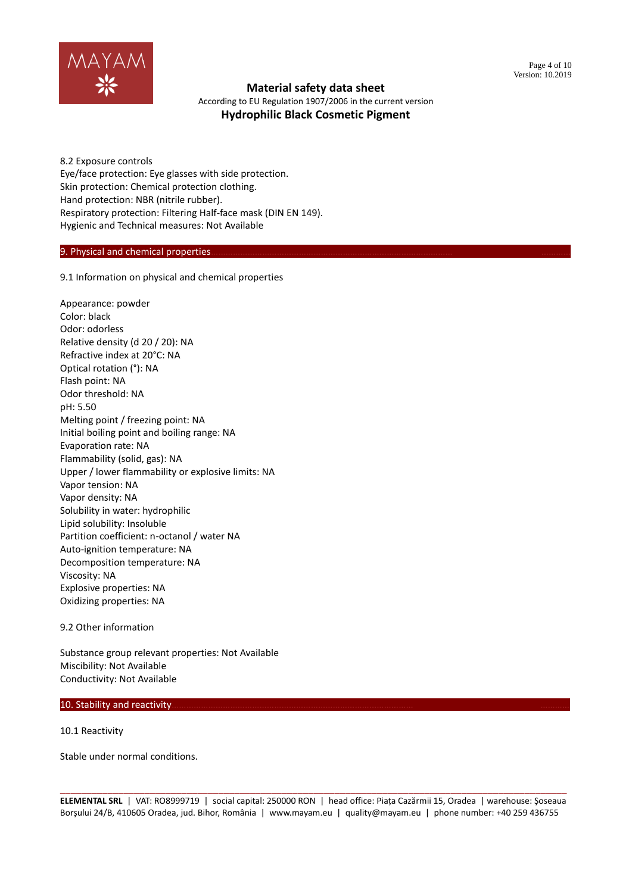

According to EU Regulation 1907/2006 in the current version **Hydrophilic Black Cosmetic Pigment**

8.2 Exposure controls Eye/face protection: Eye glasses with side protection. Skin protection: Chemical protection clothing. Hand protection: NBR (nitrile rubber). Respiratory protection: Filtering Half-face mask (DIN EN 149). Hygienic and Technical measures: Not Available

## 9. Physical and chemical properties

9.1 Information on physical and chemical properties

Appearance: powder Color: black Odor: odorless Relative density (d 20 / 20): NA Refractive index at 20°C: NA Optical rotation (°): NA Flash point: NA Odor threshold: NA pH: 5.50 Melting point / freezing point: NA Initial boiling point and boiling range: NA Evaporation rate: NA Flammability (solid, gas): NA Upper / lower flammability or explosive limits: NA Vapor tension: NA Vapor density: NA Solubility in water: hydrophilic Lipid solubility: Insoluble Partition coefficient: n-octanol / water NA Auto-ignition temperature: NA Decomposition temperature: NA Viscosity: NA Explosive properties: NA Oxidizing properties: NA

9.2 Other information

Substance group relevant properties: Not Available Miscibility: Not Available Conductivity: Not Available

## 10. Stability and reactivity.

10.1 Reactivity

Stable under normal conditions.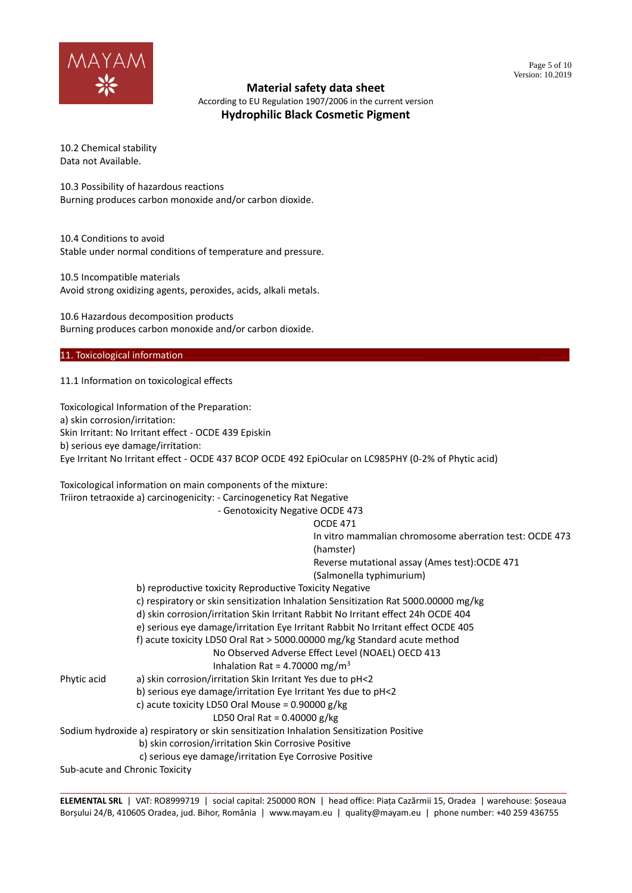

According to EU Regulation 1907/2006 in the current version **Hydrophilic Black Cosmetic Pigment**

10.2 Chemical stability Data not Available.

10.3 Possibility of hazardous reactions Burning produces carbon monoxide and/or carbon dioxide.

10.4 Conditions to avoid Stable under normal conditions of temperature and pressure.

10.5 Incompatible materials Avoid strong oxidizing agents, peroxides, acids, alkali metals.

10.6 Hazardous decomposition products Burning produces carbon monoxide and/or carbon dioxide.

## 11. Toxicological information.

11.1 Information on toxicological effects

Toxicological Information of the Preparation: a) skin corrosion/irritation: Skin Irritant: No Irritant effect - OCDE 439 Episkin b) serious eye damage/irritation: Eye Irritant No Irritant effect - OCDE 437 BCOP OCDE 492 EpiOcular on LC985PHY (0-2% of Phytic acid) Toxicological information on main components of the mixture: Triiron tetraoxide a) carcinogenicity: - Carcinogeneticy Rat Negative - Genotoxicity Negative OCDE 473 OCDE 471 In vitro mammalian chromosome aberration test: OCDE 473 (hamster) Reverse mutational assay (Ames test):OCDE 471 (Salmonella typhimurium) b) reproductive toxicity Reproductive Toxicity Negative c) respiratory or skin sensitization Inhalation Sensitization Rat 5000.00000 mg/kg d) skin corrosion/irritation Skin Irritant Rabbit No Irritant effect 24h OCDE 404 e) serious eye damage/irritation Eye Irritant Rabbit No Irritant effect OCDE 405 f) acute toxicity LD50 Oral Rat > 5000.00000 mg/kg Standard acute method No Observed Adverse Effect Level (NOAEL) OECD 413 Inhalation Rat = 4.70000 mg/m<sup>3</sup> Phytic acid a) skin corrosion/irritation Skin Irritant Yes due to pH<2 b) serious eye damage/irritation Eye Irritant Yes due to pH<2 c) acute toxicity LD50 Oral Mouse = 0.90000 g/kg LD50 Oral Rat = 0.40000 g/kg Sodium hydroxide a) respiratory or skin sensitization Inhalation Sensitization Positive b) skin corrosion/irritation Skin Corrosive Positive c) serious eye damage/irritation Eye Corrosive Positive Sub-acute and Chronic Toxicity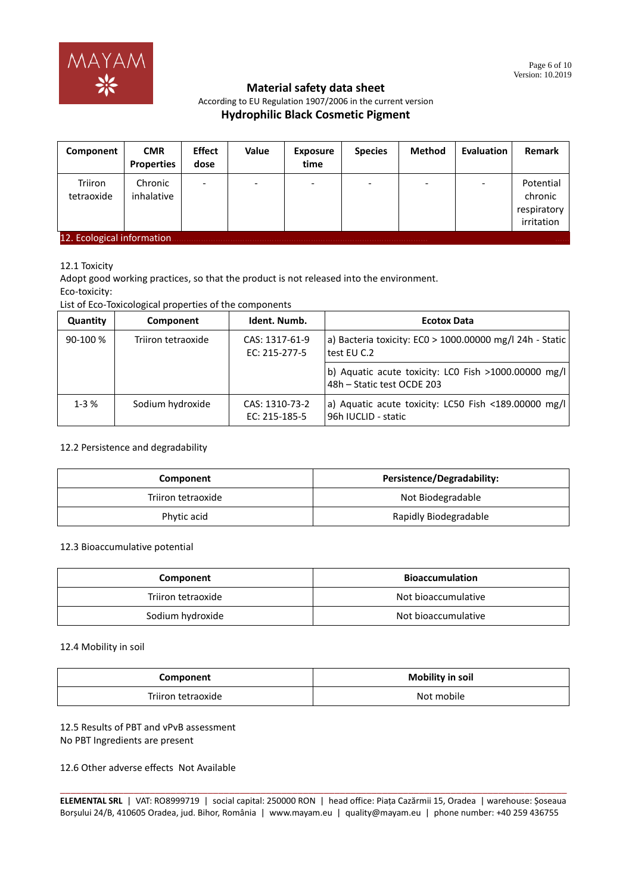

#### Page 6 of 10 Version: 10.2019

# **Material safety data sheet**

According to EU Regulation 1907/2006 in the current version

# **Hydrophilic Black Cosmetic Pigment**

| Component                                  | <b>CMR</b><br>Properties | <b>Effect</b><br>dose | <b>Value</b> | <b>Exposure</b><br>time | <b>Species</b> | <b>Method</b> | <b>Evaluation</b> | Remark                                            |
|--------------------------------------------|--------------------------|-----------------------|--------------|-------------------------|----------------|---------------|-------------------|---------------------------------------------------|
| Triiron<br>tetraoxide                      | Chronic<br>inhalative    | ۰                     |              |                         | -              |               |                   | Potential<br>chronic<br>respiratory<br>irritation |
| 12. Ecological information<br><b>SALES</b> |                          |                       |              |                         |                |               |                   |                                                   |

12.1 Toxicity

Adopt good working practices, so that the product is not released into the environment. Eco-toxicity:

List of Eco-Toxicological properties of the components

| Quantity  | Component          | Ident. Numb.                    | <b>Ecotox Data</b>                                                                 |
|-----------|--------------------|---------------------------------|------------------------------------------------------------------------------------|
| $90-100%$ | Triiron tetraoxide | CAS: 1317-61-9<br>EC: 215-277-5 | a) Bacteria toxicity: $ECO > 1000.00000$ mg/l 24h - Static<br>test EU C.2          |
|           |                    |                                 | b) Aquatic acute toxicity: LCO Fish >1000.00000 mg/l<br>48h - Static test OCDE 203 |
| $1 - 3%$  | Sodium hydroxide   | CAS: 1310-73-2<br>EC: 215-185-5 | a) Aquatic acute toxicity: LC50 Fish <189.00000 mg/l<br>96h IUCLID - static        |

## 12.2 Persistence and degradability

| Component          | <b>Persistence/Degradability:</b> |
|--------------------|-----------------------------------|
| Triiron tetraoxide | Not Biodegradable                 |
| Phytic acid        | Rapidly Biodegradable             |

#### 12.3 Bioaccumulative potential

| Component          | <b>Bioaccumulation</b> |
|--------------------|------------------------|
| Triiron tetraoxide | Not bioaccumulative    |
| Sodium hydroxide   | Not bioaccumulative    |

12.4 Mobility in soil

| Component          | <b>Mobility in soil</b> |
|--------------------|-------------------------|
| Triiron tetraoxide | Not mobile              |

## 12.5 Results of PBT and vPvB assessment No PBT Ingredients are present

12.6 Other adverse effects Not Available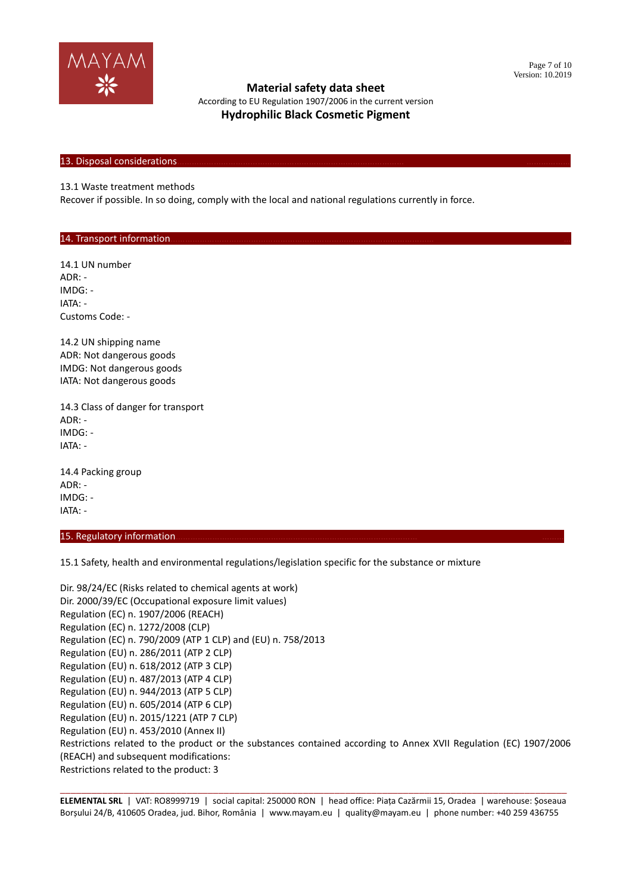

According to EU Regulation 1907/2006 in the current version **Hydrophilic Black Cosmetic Pigment**

#### 13. Disposal considerations

13.1 Waste treatment methods

Recover if possible. In so doing, comply with the local and national regulations currently in force.

#### 14. Transport information.

14.1 UN number ADR: - IMDG: - IATA: - Customs Code: -

14.2 UN shipping name ADR: Not dangerous goods IMDG: Not dangerous goods IATA: Not dangerous goods

14.3 Class of danger for transport ADR: - IMDG: - IATA: -

14.4 Packing group ADR: - IMDG: - IATA: -

15. Regulatory information

15.1 Safety, health and environmental regulations/legislation specific for the substance or mixture

Dir. 98/24/EC (Risks related to chemical agents at work) Dir. 2000/39/EC (Occupational exposure limit values) Regulation (EC) n. 1907/2006 (REACH) Regulation (EC) n. 1272/2008 (CLP) Regulation (EC) n. 790/2009 (ATP 1 CLP) and (EU) n. 758/2013 Regulation (EU) n. 286/2011 (ATP 2 CLP) Regulation (EU) n. 618/2012 (ATP 3 CLP) Regulation (EU) n. 487/2013 (ATP 4 CLP) Regulation (EU) n. 944/2013 (ATP 5 CLP) Regulation (EU) n. 605/2014 (ATP 6 CLP) Regulation (EU) n. 2015/1221 (ATP 7 CLP) Regulation (EU) n. 453/2010 (Annex II) Restrictions related to the product or the substances contained according to Annex XVII Regulation (EC) 1907/2006 (REACH) and subsequent modifications: Restrictions related to the product: 3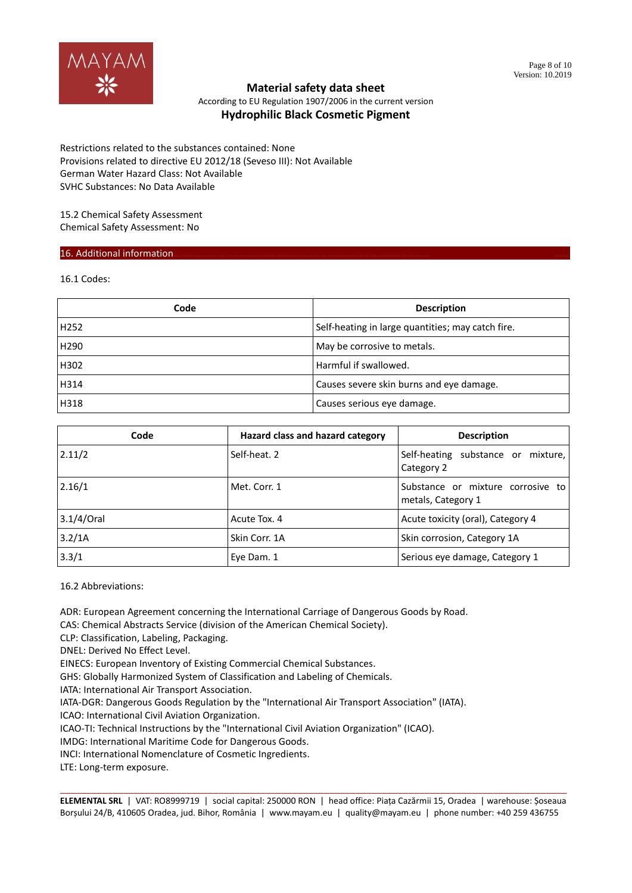

According to EU Regulation 1907/2006 in the current version **Hydrophilic Black Cosmetic Pigment**

Restrictions related to the substances contained: None Provisions related to directive EU 2012/18 (Seveso III): Not Available German Water Hazard Class: Not Available SVHC Substances: No Data Available

15.2 Chemical Safety Assessment Chemical Safety Assessment: No

## 16. Additional information.

16.1 Codes:

| Code             | <b>Description</b>                                |
|------------------|---------------------------------------------------|
| H <sub>252</sub> | Self-heating in large quantities; may catch fire. |
| H <sub>290</sub> | May be corrosive to metals.                       |
| H302             | Harmful if swallowed.                             |
| H314             | Causes severe skin burns and eye damage.          |
| H318             | Causes serious eye damage.                        |

| Code          | Hazard class and hazard category | <b>Description</b>                                      |  |
|---------------|----------------------------------|---------------------------------------------------------|--|
| 2.11/2        | Self-heat. 2                     | Self-heating substance or mixture,<br>Category 2        |  |
| 2.16/1        | Met. Corr. 1                     | Substance or mixture corrosive to<br>metals, Category 1 |  |
| $3.1/4$ /Oral | Acute Tox. 4                     | Acute toxicity (oral), Category 4                       |  |
| 3.2/1A        | Skin Corr. 1A                    | Skin corrosion, Category 1A                             |  |
| 3.3/1         | Eye Dam. 1                       | Serious eye damage, Category 1                          |  |

16.2 Abbreviations:

ADR: European Agreement concerning the International Carriage of Dangerous Goods by Road.

CAS: Chemical Abstracts Service (division of the American Chemical Society).

CLP: Classification, Labeling, Packaging.

DNEL: Derived No Effect Level.

EINECS: European Inventory of Existing Commercial Chemical Substances.

GHS: Globally Harmonized System of Classification and Labeling of Chemicals.

IATA: International Air Transport Association.

IATA-DGR: Dangerous Goods Regulation by the "International Air Transport Association" (IATA).

ICAO: International Civil Aviation Organization.

ICAO-TI: Technical Instructions by the "International Civil Aviation Organization" (ICAO).

IMDG: International Maritime Code for Dangerous Goods.

INCI: International Nomenclature of Cosmetic Ingredients.

LTE: Long-term exposure.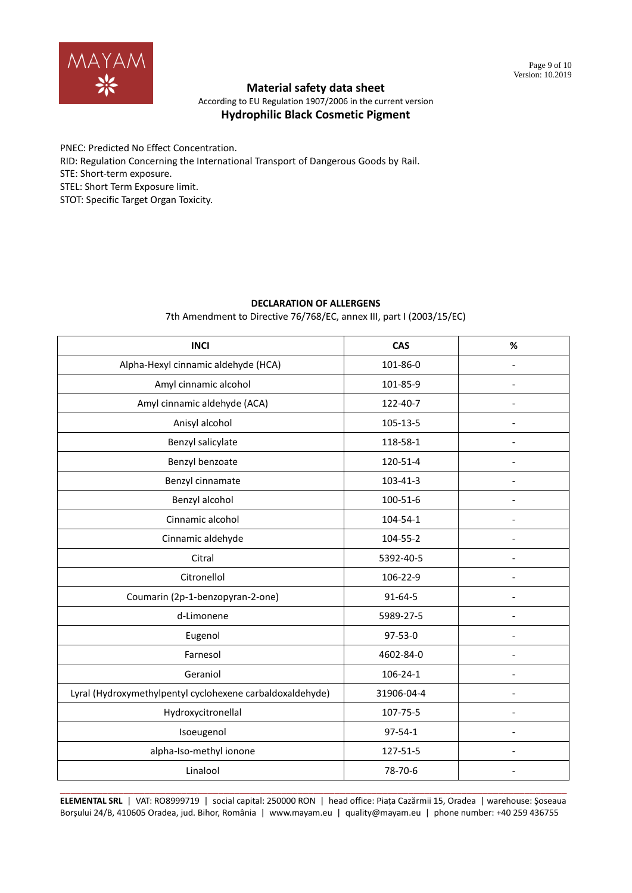

According to EU Regulation 1907/2006 in the current version **Hydrophilic Black Cosmetic Pigment**

PNEC: Predicted No Effect Concentration. RID: Regulation Concerning the International Transport of Dangerous Goods by Rail. STE: Short-term exposure. STEL: Short Term Exposure limit. STOT: Specific Target Organ Toxicity.

## **DECLARATION OF ALLERGENS**

7th Amendment to Directive 76/768/EC, annex III, part I (2003/15/EC)

| <b>INCI</b>                                               | <b>CAS</b>    | %                        |
|-----------------------------------------------------------|---------------|--------------------------|
| Alpha-Hexyl cinnamic aldehyde (HCA)                       | 101-86-0      |                          |
| Amyl cinnamic alcohol                                     | 101-85-9      | $\overline{\phantom{a}}$ |
| Amyl cinnamic aldehyde (ACA)                              | 122-40-7      |                          |
| Anisyl alcohol                                            | 105-13-5      |                          |
| Benzyl salicylate                                         | 118-58-1      |                          |
| Benzyl benzoate                                           | 120-51-4      |                          |
| Benzyl cinnamate                                          | 103-41-3      | $\overline{\phantom{a}}$ |
| Benzyl alcohol                                            | 100-51-6      |                          |
| Cinnamic alcohol                                          | 104-54-1      |                          |
| Cinnamic aldehyde                                         | 104-55-2      | $\overline{\phantom{a}}$ |
| Citral                                                    | 5392-40-5     |                          |
| Citronellol                                               | 106-22-9      |                          |
| Coumarin (2p-1-benzopyran-2-one)                          | 91-64-5       |                          |
| d-Limonene                                                | 5989-27-5     |                          |
| Eugenol                                                   | $97 - 53 - 0$ | $\overline{\phantom{a}}$ |
| Farnesol                                                  | 4602-84-0     |                          |
| Geraniol                                                  | 106-24-1      |                          |
| Lyral (Hydroxymethylpentyl cyclohexene carbaldoxaldehyde) | 31906-04-4    | $\overline{a}$           |
| Hydroxycitronellal                                        | 107-75-5      |                          |
| Isoeugenol                                                | $97 - 54 - 1$ |                          |
| alpha-Iso-methyl ionone                                   | 127-51-5      |                          |
| Linalool                                                  | 78-70-6       |                          |